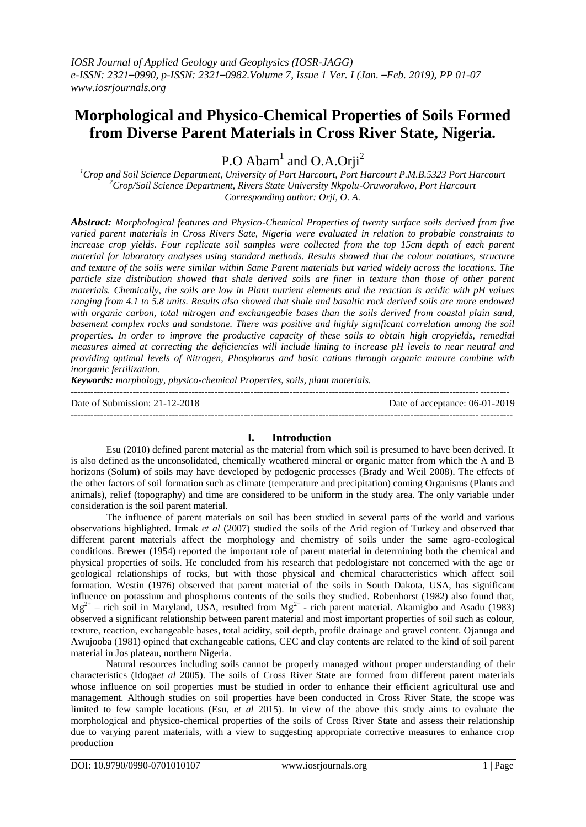# **Morphological and Physico-Chemical Properties of Soils Formed from Diverse Parent Materials in Cross River State, Nigeria.**

P.O Abam<sup>1</sup> and O.A.Orji<sup>2</sup>

*<sup>1</sup>Crop and Soil Science Department, University of Port Harcourt, Port Harcourt P.M.B.5323 Port Harcourt <sup>2</sup>Crop/Soil Science Department, Rivers State University Nkpolu-Oruworukwo, Port Harcourt Corresponding author: Orji, O. A.*

*Abstract: Morphological features and Physico-Chemical Properties of twenty surface soils derived from five varied parent materials in Cross Rivers Sate, Nigeria were evaluated in relation to probable constraints to increase crop yields. Four replicate soil samples were collected from the top 15cm depth of each parent material for laboratory analyses using standard methods. Results showed that the colour notations, structure and texture of the soils were similar within Same Parent materials but varied widely across the locations. The particle size distribution showed that shale derived soils are finer in texture than those of other parent materials. Chemically, the soils are low in Plant nutrient elements and the reaction is acidic with pH values ranging from 4.1 to 5.8 units. Results also showed that shale and basaltic rock derived soils are more endowed with organic carbon, total nitrogen and exchangeable bases than the soils derived from coastal plain sand, basement complex rocks and sandstone. There was positive and highly significant correlation among the soil properties. In order to improve the productive capacity of these soils to obtain high cropyields, remedial measures aimed at correcting the deficiencies will include liming to increase pH levels to near neutral and providing optimal levels of Nitrogen, Phosphorus and basic cations through organic manure combine with inorganic fertilization.*

*Keywords: morphology, physico-chemical Properties, soils, plant materials.* 

--------------------------------------------------------------------------------------------------------------------------------------

Date of Submission: 21-12-2018 Date of acceptance: 06-01-2019

---------------------------------------------------------------------------------------------------------------------------------------

#### **I. Introduction**

Esu (2010) defined parent material as the material from which soil is presumed to have been derived. It is also defined as the unconsolidated, chemically weathered mineral or organic matter from which the A and B horizons (Solum) of soils may have developed by pedogenic processes (Brady and Weil 2008). The effects of the other factors of soil formation such as climate (temperature and precipitation) coming Organisms (Plants and animals), relief (topography) and time are considered to be uniform in the study area. The only variable under consideration is the soil parent material.

The influence of parent materials on soil has been studied in several parts of the world and various observations highlighted. Irmak *et al* (2007) studied the soils of the Arid region of Turkey and observed that different parent materials affect the morphology and chemistry of soils under the same agro-ecological conditions. Brewer (1954) reported the important role of parent material in determining both the chemical and physical properties of soils. He concluded from his research that pedologistare not concerned with the age or geological relationships of rocks, but with those physical and chemical characteristics which affect soil formation. Westin (1976) observed that parent material of the soils in South Dakota, USA, has significant influence on potassium and phosphorus contents of the soils they studied. Robenhorst (1982) also found that,  $Mg^{2+}$  – rich soil in Maryland, USA, resulted from  $Mg^{2+}$  - rich parent material. Akamigbo and Asadu (1983) observed a significant relationship between parent material and most important properties of soil such as colour, texture, reaction, exchangeable bases, total acidity, soil depth, profile drainage and gravel content. Ojanuga and Awujooba (1981) opined that exchangeable cations, CEC and clay contents are related to the kind of soil parent material in Jos plateau, northern Nigeria.

Natural resources including soils cannot be properly managed without proper understanding of their characteristics (Idoga*et al* 2005). The soils of Cross River State are formed from different parent materials whose influence on soil properties must be studied in order to enhance their efficient agricultural use and management. Although studies on soil properties have been conducted in Cross River State, the scope was limited to few sample locations (Esu, *et al* 2015). In view of the above this study aims to evaluate the morphological and physico-chemical properties of the soils of Cross River State and assess their relationship due to varying parent materials, with a view to suggesting appropriate corrective measures to enhance crop production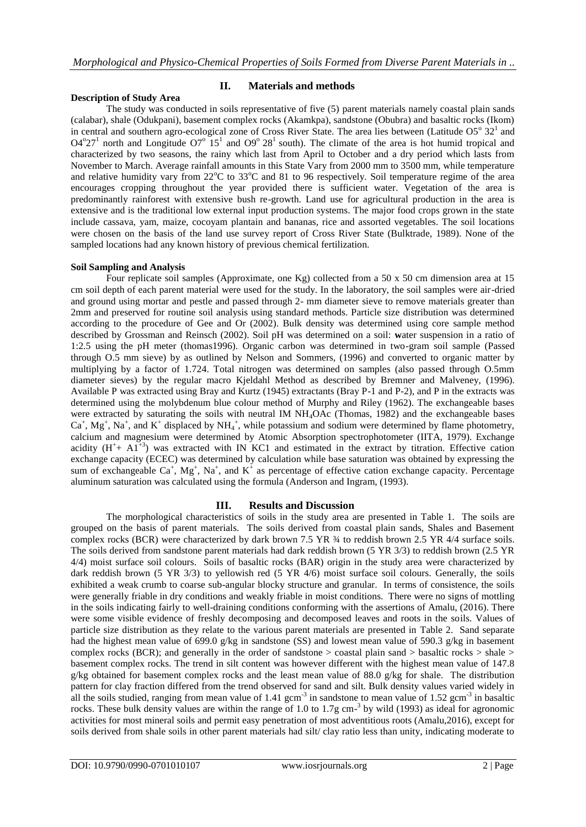### **Description of Study Area**

### **II. Materials and methods**

The study was conducted in soils representative of five (5) parent materials namely coastal plain sands (calabar), shale (Odukpani), basement complex rocks (Akamkpa), sandstone (Obubra) and basaltic rocks (Ikom) in central and southern agro-ecological zone of Cross River State. The area lies between (Latitude  $O5^{\circ}$   $32^1$  and  $O4^{\circ}27^{\circ}$  north and Longitude  $O7^{\circ}$  15<sup>1</sup> and  $O9^{\circ}$  28<sup>1</sup> south). The climate of the area is hot humid tropical and characterized by two seasons, the rainy which last from April to October and a dry period which lasts from November to March. Average rainfall amounts in this State Vary from 2000 mm to 3500 mm, while temperature and relative humidity vary from  $22^{\circ}\text{C}$  to  $33^{\circ}\text{C}$  and 81 to 96 respectively. Soil temperature regime of the area encourages cropping throughout the year provided there is sufficient water. Vegetation of the area is predominantly rainforest with extensive bush re-growth. Land use for agricultural production in the area is extensive and is the traditional low external input production systems. The major food crops grown in the state include cassava, yam, maize, cocoyam plantain and bananas, rice and assorted vegetables. The soil locations were chosen on the basis of the land use survey report of Cross River State (Bulktrade, 1989). None of the sampled locations had any known history of previous chemical fertilization.

### **Soil Sampling and Analysis**

Four replicate soil samples (Approximate, one Kg) collected from a 50 x 50 cm dimension area at 15 cm soil depth of each parent material were used for the study. In the laboratory, the soil samples were air-dried and ground using mortar and pestle and passed through 2- mm diameter sieve to remove materials greater than 2mm and preserved for routine soil analysis using standard methods. Particle size distribution was determined according to the procedure of Gee and Or (2002). Bulk density was determined using core sample method described by Grossman and Reinsch (2002). Soil pH was determined on a soil: **w**ater suspension in a ratio of 1:2.5 using the pH meter (thomas1996). Organic carbon was determined in two-gram soil sample (Passed through O.5 mm sieve) by as outlined by Nelson and Sommers, (1996) and converted to organic matter by multiplying by a factor of 1.724. Total nitrogen was determined on samples (also passed through O.5mm diameter sieves) by the regular macro Kjeldahl Method as described by Bremner and Malveney, (1996). Available P was extracted using Bray and Kurtz (1945) extractants (Bray P-1 and P-2), and P in the extracts was determined using the molybdenum blue colour method of Murphy and Riley (1962). The exchangeable bases were extracted by saturating the soils with neutral IM NH4OAc (Thomas, 1982) and the exchangeable bases  $Ca^+$ ,  $Mg^+$ ,  $Na^+$ , and  $K^+$  displaced by NH<sub>4</sub><sup>+</sup>, while potassium and sodium were determined by flame photometry, calcium and magnesium were determined by Atomic Absorption spectrophotometer (IITA, 1979). Exchange acidity  $(H^+ + Al^{+3})$  was extracted with IN KC1 and estimated in the extract by titration. Effective cation exchange capacity (ECEC) was determined by calculation while base saturation was obtained by expressing the sum of exchangeable Ca<sup>+</sup>, Mg<sup>+</sup>, Na<sup>+</sup>, and K<sup>+</sup> as percentage of effective cation exchange capacity. Percentage aluminum saturation was calculated using the formula (Anderson and Ingram, (1993).

# **III. Results and Discussion**

The morphological characteristics of soils in the study area are presented in Table 1. The soils are grouped on the basis of parent materials. The soils derived from coastal plain sands, Shales and Basement complex rocks (BCR) were characterized by dark brown 7.5 YR ¾ to reddish brown 2.5 YR 4/4 surface soils. The soils derived from sandstone parent materials had dark reddish brown (5 YR 3/3) to reddish brown (2.5 YR 4/4) moist surface soil colours. Soils of basaltic rocks (BAR) origin in the study area were characterized by dark reddish brown (5 YR 3/3) to yellowish red (5 YR 4/6) moist surface soil colours. Generally, the soils exhibited a weak crumb to coarse sub-angular blocky structure and granular. In terms of consistence, the soils were generally friable in dry conditions and weakly friable in moist conditions. There were no signs of mottling in the soils indicating fairly to well-draining conditions conforming with the assertions of Amalu, (2016). There were some visible evidence of freshly decomposing and decomposed leaves and roots in the soils. Values of particle size distribution as they relate to the various parent materials are presented in Table 2. Sand separate had the highest mean value of 699.0 g/kg in sandstone (SS) and lowest mean value of 590.3 g/kg in basement complex rocks (BCR); and generally in the order of sandstone  $>$  coastal plain sand  $>$  basaltic rocks  $>$  shale  $>$ basement complex rocks. The trend in silt content was however different with the highest mean value of 147.8 g/kg obtained for basement complex rocks and the least mean value of 88.0 g/kg for shale. The distribution pattern for clay fraction differed from the trend observed for sand and silt. Bulk density values varied widely in all the soils studied, ranging from mean value of  $1.41 \text{ gcm}^{-3}$  in sandstone to mean value of  $1.52 \text{ gcm}^{-3}$  in basaltic rocks. These bulk density values are within the range of 1.0 to 1.7g cm<sup>-3</sup> by wild (1993) as ideal for agronomic activities for most mineral soils and permit easy penetration of most adventitious roots (Amalu,2016), except for soils derived from shale soils in other parent materials had silt/ clay ratio less than unity, indicating moderate to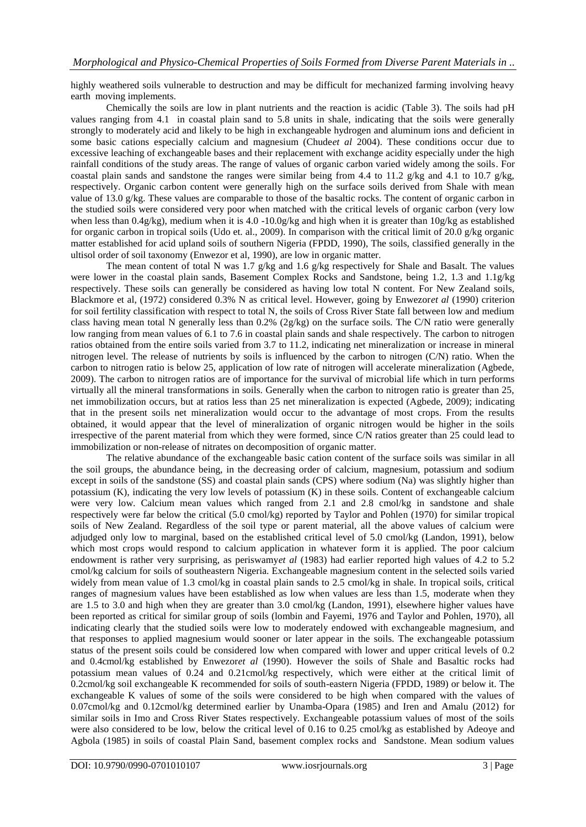highly weathered soils vulnerable to destruction and may be difficult for mechanized farming involving heavy earth moving implements.

Chemically the soils are low in plant nutrients and the reaction is acidic (Table 3). The soils had pH values ranging from 4.1 in coastal plain sand to 5.8 units in shale, indicating that the soils were generally strongly to moderately acid and likely to be high in exchangeable hydrogen and aluminum ions and deficient in some basic cations especially calcium and magnesium (Chude*et al* 2004). These conditions occur due to excessive leaching of exchangeable bases and their replacement with exchange acidity especially under the high rainfall conditions of the study areas. The range of values of organic carbon varied widely among the soils. For coastal plain sands and sandstone the ranges were similar being from 4.4 to 11.2 g/kg and 4.1 to 10.7 g/kg, respectively. Organic carbon content were generally high on the surface soils derived from Shale with mean value of 13.0 g/kg. These values are comparable to those of the basaltic rocks. The content of organic carbon in the studied soils were considered very poor when matched with the critical levels of organic carbon (very low when less than 0.4g/kg), medium when it is 4.0 -10.0g/kg and high when it is greater than 10g/kg as established for organic carbon in tropical soils (Udo et. al., 2009). In comparison with the critical limit of 20.0 g/kg organic matter established for acid upland soils of southern Nigeria (FPDD, 1990), The soils, classified generally in the ultisol order of soil taxonomy (Enwezor et al, 1990), are low in organic matter.

The mean content of total N was 1.7 g/kg and 1.6 g/kg respectively for Shale and Basalt. The values were lower in the coastal plain sands, Basement Complex Rocks and Sandstone, being 1.2, 1.3 and 1.1g/kg respectively. These soils can generally be considered as having low total N content. For New Zealand soils, Blackmore et al, (1972) considered 0.3% N as critical level. However, going by Enwezor*et al* (1990) criterion for soil fertility classification with respect to total N, the soils of Cross River State fall between low and medium class having mean total N generally less than 0.2% (2g/kg) on the surface soils. The C/N ratio were generally low ranging from mean values of 6.1 to 7.6 in coastal plain sands and shale respectively. The carbon to nitrogen ratios obtained from the entire soils varied from 3.7 to 11.2, indicating net mineralization or increase in mineral nitrogen level. The release of nutrients by soils is influenced by the carbon to nitrogen (C/N) ratio. When the carbon to nitrogen ratio is below 25, application of low rate of nitrogen will accelerate mineralization (Agbede, 2009). The carbon to nitrogen ratios are of importance for the survival of microbial life which in turn performs virtually all the mineral transformations in soils. Generally when the carbon to nitrogen ratio is greater than 25, net immobilization occurs, but at ratios less than 25 net mineralization is expected (Agbede, 2009); indicating that in the present soils net mineralization would occur to the advantage of most crops. From the results obtained, it would appear that the level of mineralization of organic nitrogen would be higher in the soils irrespective of the parent material from which they were formed, since C/N ratios greater than 25 could lead to immobilization or non-release of nitrates on decomposition of organic matter.

The relative abundance of the exchangeable basic cation content of the surface soils was similar in all the soil groups, the abundance being, in the decreasing order of calcium, magnesium, potassium and sodium except in soils of the sandstone (SS) and coastal plain sands (CPS) where sodium (Na) was slightly higher than potassium (K), indicating the very low levels of potassium (K) in these soils. Content of exchangeable calcium were very low. Calcium mean values which ranged from 2.1 and 2.8 cmol/kg in sandstone and shale respectively were far below the critical (5.0 cmol/kg) reported by Taylor and Pohlen (1970) for similar tropical soils of New Zealand. Regardless of the soil type or parent material, all the above values of calcium were adjudged only low to marginal, based on the established critical level of 5.0 cmol/kg (Landon, 1991), below which most crops would respond to calcium application in whatever form it is applied. The poor calcium endowment is rather very surprising, as periswamy*et al* (1983) had earlier reported high values of 4.2 to 5.2 cmol/kg calcium for soils of southeastern Nigeria. Exchangeable magnesium content in the selected soils varied widely from mean value of 1.3 cmol/kg in coastal plain sands to 2.5 cmol/kg in shale. In tropical soils, critical ranges of magnesium values have been established as low when values are less than 1.5, moderate when they are 1.5 to 3.0 and high when they are greater than 3.0 cmol/kg (Landon, 1991), elsewhere higher values have been reported as critical for similar group of soils (lombin and Fayemi, 1976 and Taylor and Pohlen, 1970), all indicating clearly that the studied soils were low to moderately endowed with exchangeable magnesium, and that responses to applied magnesium would sooner or later appear in the soils. The exchangeable potassium status of the present soils could be considered low when compared with lower and upper critical levels of 0.2 and 0.4cmol/kg established by Enwezor*et al* (1990). However the soils of Shale and Basaltic rocks had potassium mean values of 0.24 and 0.21cmol/kg respectively, which were either at the critical limit of 0.2cmol/kg soil exchangeable K recommended for soils of south-eastern Nigeria (FPDD, 1989) or below it. The exchangeable K values of some of the soils were considered to be high when compared with the values of 0.07cmol/kg and 0.12cmol/kg determined earlier by Unamba-Opara (1985) and Iren and Amalu (2012) for similar soils in Imo and Cross River States respectively. Exchangeable potassium values of most of the soils were also considered to be low, below the critical level of 0.16 to 0.25 cmol/kg as established by Adeoye and Agbola (1985) in soils of coastal Plain Sand, basement complex rocks and Sandstone. Mean sodium values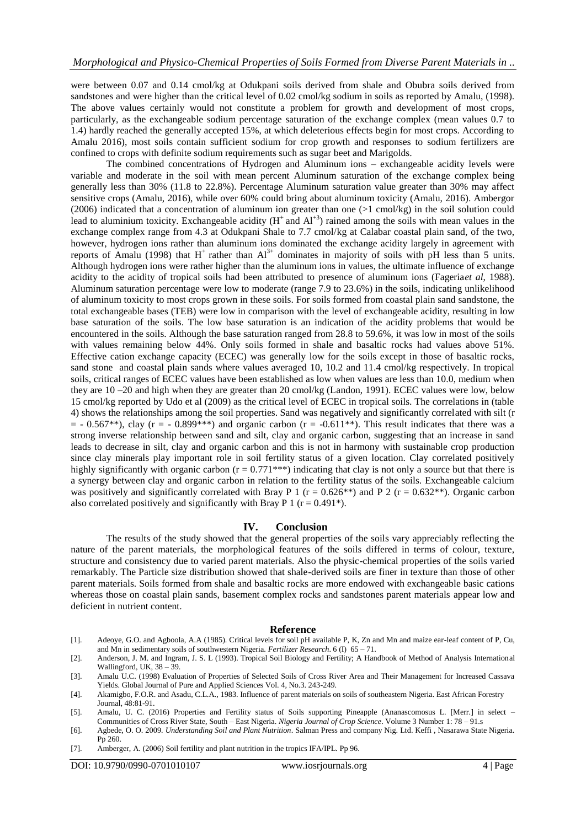were between 0.07 and 0.14 cmol/kg at Odukpani soils derived from shale and Obubra soils derived from sandstones and were higher than the critical level of 0.02 cmol/kg sodium in soils as reported by Amalu, (1998). The above values certainly would not constitute a problem for growth and development of most crops, particularly, as the exchangeable sodium percentage saturation of the exchange complex (mean values 0.7 to 1.4) hardly reached the generally accepted 15%, at which deleterious effects begin for most crops. According to Amalu 2016), most soils contain sufficient sodium for crop growth and responses to sodium fertilizers are confined to crops with definite sodium requirements such as sugar beet and Marigolds.

The combined concentrations of Hydrogen and Aluminum ions – exchangeable acidity levels were variable and moderate in the soil with mean percent Aluminum saturation of the exchange complex being generally less than 30% (11.8 to 22.8%). Percentage Aluminum saturation value greater than 30% may affect sensitive crops (Amalu, 2016), while over 60% could bring about aluminum toxicity (Amalu, 2016). Ambergor (2006) indicated that a concentration of aluminum ion greater than one (>1 cmol/kg) in the soil solution could lead to aluminium toxicity. Exchangeable acidity  $(H^+$  and  $Al^{+3})$  rained among the soils with mean values in the exchange complex range from 4.3 at Odukpani Shale to 7.7 cmol/kg at Calabar coastal plain sand, of the two, however, hydrogen ions rather than aluminum ions dominated the exchange acidity largely in agreement with reports of Amalu (1998) that  $H^+$  rather than  $Al^{3+}$  dominates in majority of soils with pH less than 5 units. Although hydrogen ions were rather higher than the aluminum ions in values, the ultimate influence of exchange acidity to the acidity of tropical soils had been attributed to presence of aluminum ions (Fageria*et al*, 1988). Aluminum saturation percentage were low to moderate (range 7.9 to 23.6%) in the soils, indicating unlikelihood of aluminum toxicity to most crops grown in these soils. For soils formed from coastal plain sand sandstone, the total exchangeable bases (TEB) were low in comparison with the level of exchangeable acidity, resulting in low base saturation of the soils. The low base saturation is an indication of the acidity problems that would be encountered in the soils. Although the base saturation ranged from 28.8 to 59.6%, it was low in most of the soils with values remaining below 44%. Only soils formed in shale and basaltic rocks had values above 51%. Effective cation exchange capacity (ECEC) was generally low for the soils except in those of basaltic rocks, sand stone and coastal plain sands where values averaged 10, 10.2 and 11.4 cmol/kg respectively. In tropical soils, critical ranges of ECEC values have been established as low when values are less than 10.0, medium when they are 10 –20 and high when they are greater than 20 cmol/kg (Landon, 1991). ECEC values were low, below 15 cmol/kg reported by Udo et al (2009) as the critical level of ECEC in tropical soils. The correlations in (table 4) shows the relationships among the soil properties. Sand was negatively and significantly correlated with silt (r  $=$  - 0.567\*\*), clay (r = - 0.899\*\*\*) and organic carbon (r = -0.611\*\*). This result indicates that there was a strong inverse relationship between sand and silt, clay and organic carbon, suggesting that an increase in sand leads to decrease in silt, clay and organic carbon and this is not in harmony with sustainable crop production since clay minerals play important role in soil fertility status of a given location. Clay correlated positively highly significantly with organic carbon  $(r = 0.771***)$  indicating that clay is not only a source but that there is a synergy between clay and organic carbon in relation to the fertility status of the soils. Exchangeable calcium was positively and significantly correlated with Bray P 1 ( $r = 0.626**$ ) and P 2 ( $r = 0.632**$ ). Organic carbon also correlated positively and significantly with Bray P 1 ( $r = 0.491$ <sup>\*</sup>).

#### **IV. Conclusion**

The results of the study showed that the general properties of the soils vary appreciably reflecting the nature of the parent materials, the morphological features of the soils differed in terms of colour, texture, structure and consistency due to varied parent materials. Also the physic-chemical properties of the soils varied remarkably. The Particle size distribution showed that shale-derived soils are finer in texture than those of other parent materials. Soils formed from shale and basaltic rocks are more endowed with exchangeable basic cations whereas those on coastal plain sands, basement complex rocks and sandstones parent materials appear low and deficient in nutrient content.

#### **Reference**

- [1]. Adeoye, G.O. and Agboola, A.A (1985). Critical levels for soil pH available P, K, Zn and Mn and maize ear-leaf content of P, Cu, and Mn in sedimentary soils of southwestern Nigeria. *Fertilizer Research*. 6 (I) 65 – 71.
- [2]. Anderson, J. M. and Ingram, J. S. L (1993). Tropical Soil Biology and Fertility; A Handbook of Method of Analysis International Wallingford, UK, 38 – 39.
- [3]. Amalu U.C. (1998) Evaluation of Properties of Selected Soils of Cross River Area and Their Management for Increased Cassava Yields. Global Journal of Pure and Applied Sciences Vol. 4, No.3. 243-249.

[7]. Amberger, A. (2006) Soil fertility and plant nutrition in the tropics IFA/IPL. Pp 96.

DOI: 10.9790/0990-0701010107 www.iosrjournals.org 4 | Page

<sup>[4].</sup> Akamigbo, F.O.R. and Asadu, C.L.A., 1983. Influence of parent materials on soils of southeastern Nigeria. East African Forestry Journal, 48:81-91.

<sup>[5].</sup> Amalu, U. C. (2016) Properties and Fertility status of Soils supporting Pineapple (Ananascomosus L. [Merr.] in select – Communities of Cross River State, South – East Nigeria. *Nigeria Journal of Crop Science*. Volume 3 Number 1: 78 – 91.s

<sup>[6].</sup> Agbede, O. O. 2009*. Understanding Soil and Plant Nutrition*. Salman Press and company Nig. Ltd. Keffi , Nasarawa State Nigeria. Pp 260.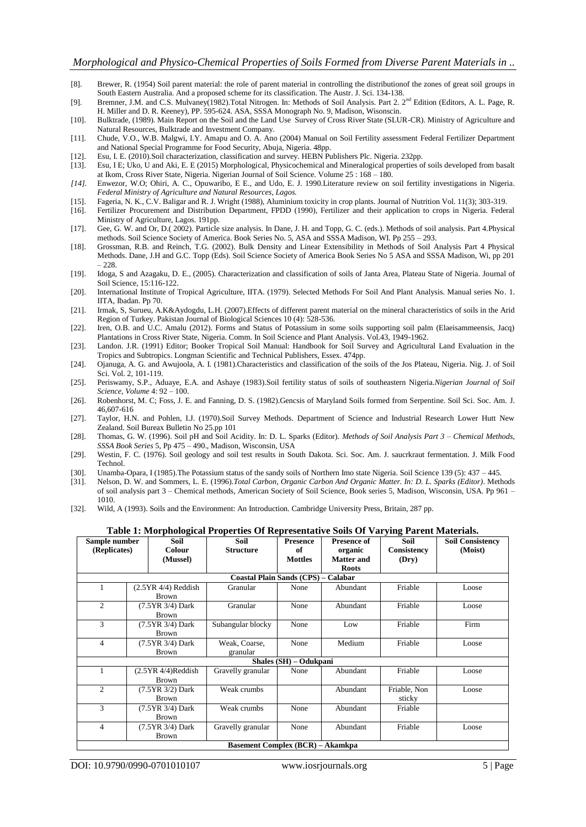- [8]. Brewer, R. (1954) Soil parent material: the role of parent material in controlling the distributionof the zones of great soil groups in South Eastern Australia. And a proposed scheme for its classification. The Austr. J. Sci. 134-138.
- [9]. Bremner, J.M. and C.S. Mulvaney(1982).Total Nitrogen. In: Methods of Soil Analysis. Part 2. 2<sup>nd</sup> Edition (Editors, A. L. Page, R. H. Miller and D. R. Keeney), PP. 595-624. ASA, SSSA Monograph No. 9, Madison, Wisonscin.
- [10]. Bulktrade, (1989). Main Report on the Soil and the Land Use Survey of Cross River State (SLUR-CR). Ministry of Agriculture and Natural Resources, Bulktrade and Investment Company.
- [11]. Chude, V.O., W.B. Malgwi, I.Y. Amapu and O. A. Ano (2004) Manual on Soil Fertility assessment Federal Fertilizer Department and National Special Programme for Food Security, Abuja, Nigeria. 48pp.
- [12]. Esu, I. E. (2010).Soil characterization, classification and survey. HEBN Publishers Plc. Nigeria. 232pp.
- [13]. Esu, I E; Uko, U and Aki, E. E (2015) Morphological, Physicochemical and Mineralogical properties of soils developed from basalt at Ikom, Cross River State, Nigeria. Nigerian Journal of Soil Science. Volume 25 : 168 – 180.
- *[14].* Enwezor, W.O; Ohiri, A. C., Opuwaribo, E E., and Udo, E. J. 1990.Literature review on soil fertility investigations in Nigeria. *Federal Ministry of Agriculture and Natural Resources, Lagos.*
- [15]. Fageria, N. K., C.V. Baligar and R. J. Wright (1988), Aluminium toxicity in crop plants. Journal of Nutrition Vol. 11(3); 303-319.
- [16]. Fertilizer Procurement and Distribution Department, FPDD (1990), Fertilizer and their application to crops in Nigeria. Federal Ministry of Agriculture, Lagos. 191pp.
- [17]. Gee, G. W. and Or, D.( 2002). Particle size analysis. In Dane, J. H. and Topp, G. C. (eds.). Methods of soil analysis. Part 4.Physical methods. Soil Science Society of America. Book Series No. 5, ASA and SSSA Madison, WI. Pp 255 – 293.
- [18]. Grossman, R.B. and Reinch, T.G. (2002). Bulk Density and Linear Extensibility in Methods of Soil Analysis Part 4 Physical Methods. Dane, J.H and G.C. Topp (Eds). Soil Science Society of America Book Series No 5 ASA and SSSA Madison, Wi, pp 201 – 228.
- [19]. Idoga, S and Azagaku, D. E., (2005). Characterization and classification of soils of Janta Area, Plateau State of Nigeria. Journal of Soil Science, 15:116-122.
- [20]. International Institute of Tropical Agriculture, IITA. (1979). Selected Methods For Soil And Plant Analysis. Manual series No. 1. IITA, Ibadan. Pp 70.
- [21]. Irmak, S, Surueu, A.K&Aydogdu, L.H. (2007).Effects of different parent material on the mineral characteristics of soils in the Arid Region of Turkey. Pakistan Journal of Biological Sciences 10 (4): 528-536.
- [22]. Iren, O.B. and U.C. Amalu (2012). Forms and Status of Potassium in some soils supporting soil palm (Elaeisammeensis, Jacq) Plantations in Cross River State, Nigeria. Comm. In Soil Science and Plant Analysis. Vol.43, 1949-1962.
- [23]. Landon. J.R. (1991) Editor; Booker Tropical Soil Manual: Handbook for Soil Survey and Agricultural Land Evaluation in the Tropics and Subtropics. Longman Scientific and Technical Publishers, Essex. 474pp.
- [24]. Ojanuga, A. G. and Awujoola, A. I. (1981).Characteristics and classification of the soils of the Jos Plateau, Nigeria. Nig. J. of Soil Sci. Vol. 2, 101-119.
- [25]. Periswamy, S.P., Aduaye, E.A. and Ashaye (1983).Soil fertility status of soils of southeastern Nigeria.*Nigerian Journal of Soil Science, Volume* 4: 92 – 100.
- [26]. Robenhorst, M. C; Foss, J. E. and Fanning, D. S. (1982).Gencsis of Maryland Soils formed from Serpentine. Soil Sci. Soc. Am. J. 46,607-616
- [27]. Taylor, H.N. and Pohlen, I.J. (1970).Soil Survey Methods. Department of Science and Industrial Research Lower Hutt New Zealand. Soil Bureax Bulletin No 25.pp 101
- [28]. Thomas, G. W. (1996). Soil pH and Soil Acidity. In: D. L. Sparks (Editor). *Methods of Soil Analysis Part 3 – Chemical Methods, SSSA Book Series* 5, Pp 475 – 490., Madison, Wisconsin, USA
- [29]. Westin, F. C. (1976). Soil geology and soil test results in South Dakota. Sci. Soc. Am. J. saucrkraut fermentation. J. Milk Food Technol.
- [30]. Unamba-Opara, I (1985).The Potassium status of the sandy soils of Northern Imo state Nigeria. Soil Science 139 (5): 437 445.
- [31]. Nelson, D. W. and Sommers, L. E. (1996).*Total Carbon, Organic Carbon And Organic Matter. In: D. L. Sparks (Editor)*. Methods of soil analysis part 3 – Chemical methods, American Society of Soil Science, Book series 5, Madison, Wisconsin, USA. Pp 961 – 1010.
- [32]. Wild, A (1993). Soils and the Environment: An Introduction. Cambridge University Press, Britain, 287 pp.

#### **Table 1: Morphological Properties Of Representative Soils Of Varying Parent Materials.**

| Sample number<br>(Replicates) |                                            | ຼ<br>Soil<br><b>Colour</b>            | Soil<br><b>Structure</b>                   | <b>Presence</b><br>of  | <b>Presence of</b><br>organic | Soil<br>Consistency    | <b>Soil Consistency</b><br>(Moist) |  |
|-------------------------------|--------------------------------------------|---------------------------------------|--------------------------------------------|------------------------|-------------------------------|------------------------|------------------------------------|--|
|                               |                                            | (Mussel)                              |                                            | <b>Mottles</b>         | Matter and<br><b>Roots</b>    | (Dry)                  |                                    |  |
|                               |                                            |                                       | <b>Coastal Plain Sands (CPS) - Calabar</b> |                        |                               |                        |                                    |  |
| 1                             |                                            | $(2.5YR 4/4)$ Reddish<br><b>Brown</b> | Granular                                   | None                   | Abundant                      | Friable                | Loose                              |  |
| 2                             |                                            | $(7.5YR 3/4)$ Dark<br><b>Brown</b>    | Granular                                   | None                   | Abundant                      | Friable                | Loose                              |  |
| 3                             | $(7.5YR 3/4)$ Dark<br><b>Brown</b>         |                                       | Subangular blocky                          | None                   | Low                           | Friable                | Firm                               |  |
| 4                             | $(7.5YR 3/4)$ Dark<br><b>Brown</b>         |                                       | Weak, Coarse,<br>granular                  | None                   | Medium                        | Friable                | Loose                              |  |
|                               |                                            |                                       |                                            | Shales (SH) – Odukpani |                               |                        |                                    |  |
| $\mathbf{1}$                  | $(2.5YR 4/4)$ Reddish<br><b>Brown</b>      |                                       | Gravelly granular                          | None                   | Abundant                      | Friable                | Loose                              |  |
| 2                             | $(7.5YR \frac{3}{2})$ Dark<br><b>Brown</b> |                                       | Weak crumbs                                |                        | Abundant                      | Friable, Non<br>sticky | Loose                              |  |
| 3                             |                                            | $(7.5YR 3/4)$ Dark<br><b>Brown</b>    | Weak crumbs                                | None                   | Abundant                      | Friable                |                                    |  |
| 4                             | $(7.5YR 3/4)$ Dark<br><b>Brown</b>         |                                       | Gravelly granular                          | None                   | Abundant                      | Friable                | Loose                              |  |
|                               |                                            |                                       | <b>Basement Complex (BCR) – Akamkpa</b>    |                        |                               |                        |                                    |  |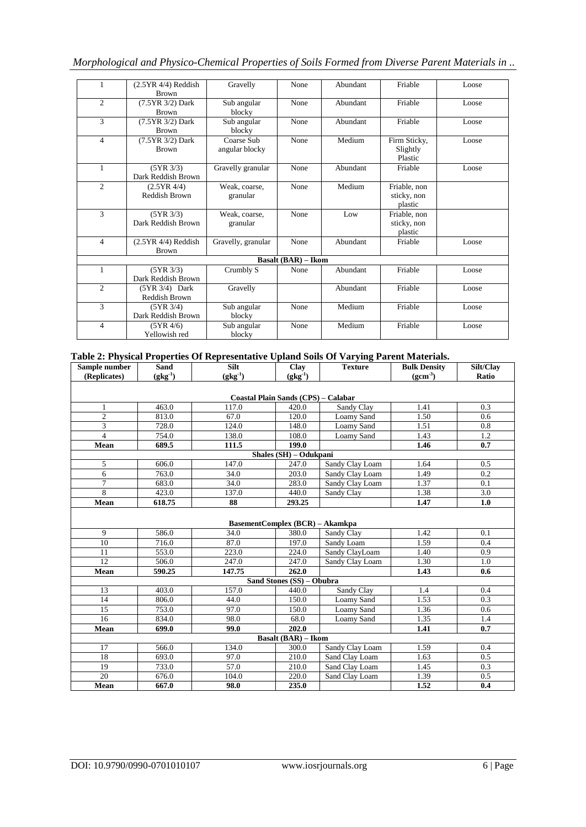| $\mathbf{1}$   | $(2.5YR 4/4)$ Reddish<br><b>Brown</b>      | Gravelly                     | None                       | Abundant | Friable                                | Loose |
|----------------|--------------------------------------------|------------------------------|----------------------------|----------|----------------------------------------|-------|
| 2              | (7.5YR 3/2) Dark<br><b>Brown</b>           | Sub angular<br>blocky        | None                       | Abundant | Friable                                | Loose |
| 3              | $(7.5YR \frac{3}{2})$ Dark<br><b>Brown</b> | Sub angular<br>blocky        | None                       | Abundant | Friable                                | Loose |
| $\overline{4}$ | (7.5YR 3/2) Dark<br><b>Brown</b>           | Coarse Sub<br>angular blocky | None                       | Medium   | Firm Sticky,<br>Slightly<br>Plastic    | Loose |
| $\mathbf{1}$   | (5YR 3/3)<br>Dark Reddish Brown            | Gravelly granular            | None                       | Abundant | Friable                                | Loose |
| $\overline{c}$ | (2.5YR 4/4)<br>Reddish Brown               | Weak, coarse,<br>granular    | None                       | Medium   | Friable, non<br>sticky, non<br>plastic |       |
| $\overline{3}$ | (5YR 3/3)<br>Dark Reddish Brown            | Weak, coarse,<br>granular    | None                       | Low      | Friable, non<br>sticky, non<br>plastic |       |
| $\overline{4}$ | $(2.5YR 4/4)$ Reddish<br><b>Brown</b>      | Gravelly, granular           | None                       | Abundant | Friable                                | Loose |
|                |                                            |                              | <b>Basalt (BAR) – Ikom</b> |          |                                        |       |
| $\mathbf{1}$   | (5YR 3/3)<br>Dark Reddish Brown            | Crumbly S                    | None                       | Abundant | Friable                                | Loose |
| $\overline{c}$ | (5YR 3/4) Dark<br>Reddish Brown            | Gravelly                     |                            | Abundant | Friable                                | Loose |
| 3              | (5YR 3/4)<br>Dark Reddish Brown            | Sub angular<br>blocky        | None                       | Medium   | Friable                                | Loose |
| $\overline{4}$ | (5YR 4/6)<br>Yellowish red                 | Sub angular<br>blocky        | None                       | Medium   | Friable                                | Loose |

## **Table 2: Physical Properties Of Representative Upland Soils Of Varying Parent Materials.**

| Sample number  | <b>Sand</b>  | Silt                                   | Clay                       | <b>Texture</b>  | <b>Bulk Density</b> | Silt/Clay |  |  |  |  |  |
|----------------|--------------|----------------------------------------|----------------------------|-----------------|---------------------|-----------|--|--|--|--|--|
| (Replicates)   | $(gkg^{-1})$ | $(gkg^{-1})$                           | $(gkg^{-1})$               |                 | $(gcm^{-3})$        | Ratio     |  |  |  |  |  |
|                |              |                                        |                            |                 |                     |           |  |  |  |  |  |
|                |              | Coastal Plain Sands (CPS) - Calabar    |                            |                 |                     |           |  |  |  |  |  |
| 1              | 463.0        | 117.0                                  | 420.0                      | Sandy Clay      | 1.41                | 0.3       |  |  |  |  |  |
| $\overline{c}$ | 813.0        | 67.0                                   | 120.0                      | Loamy Sand      | 1.50                | 0.6       |  |  |  |  |  |
| 3              | 728.0        | 124.0                                  | 148.0                      | Loamy Sand      | 1.51                | 0.8       |  |  |  |  |  |
| $\overline{4}$ | 754.0        | 138.0                                  | 108.0                      | Loamy Sand      | 1.43                | 1.2       |  |  |  |  |  |
| Mean           | 689.5        | 111.5                                  | 199.0                      |                 | 1.46                | 0.7       |  |  |  |  |  |
|                |              |                                        | Shales (SH) - Odukpani     |                 |                     |           |  |  |  |  |  |
| 5              | 606.0        | 147.0                                  | 247.0                      | Sandy Clay Loam | 1.64                | 0.5       |  |  |  |  |  |
| 6              | 763.0        | 34.0                                   | 203.0                      | Sandy Clay Loam | 1.49                | 0.2       |  |  |  |  |  |
| $\overline{7}$ | 683.0        | 34.0                                   | 283.0                      | Sandy Clay Loam | 1.37                | 0.1       |  |  |  |  |  |
| 8              | 423.0        | 137.0                                  | 440.0                      | Sandy Clay      | 1.38                | 3.0       |  |  |  |  |  |
| <b>Mean</b>    | 618.75       | 88                                     | 293.25                     |                 | 1.47                | 1.0       |  |  |  |  |  |
|                |              |                                        |                            |                 |                     |           |  |  |  |  |  |
|                |              | <b>BasementComplex (BCR) – Akamkpa</b> |                            |                 |                     |           |  |  |  |  |  |
| 9              | 586.0        | 34.0                                   | 380.0                      | Sandy Clay      | 1.42                | 0.1       |  |  |  |  |  |
| 10             | 716.0        | 87.0                                   | 197.0                      | Sandy Loam      | 1.59                | 0.4       |  |  |  |  |  |
| 11             | 553.0        | 223.0                                  | 224.0                      | Sandy ClayLoam  | 1.40                | 0.9       |  |  |  |  |  |
| 12             | 506.0        | 247.0                                  | 247.0                      | Sandy Clay Loam | 1.30                | 1.0       |  |  |  |  |  |
| Mean           | 590.25       | 147.75                                 | 262.0                      |                 | 1.43                | 0.6       |  |  |  |  |  |
|                |              |                                        | Sand Stones (SS) - Obubra  |                 |                     |           |  |  |  |  |  |
| 13             | 403.0        | 157.0                                  | 440.0                      | Sandy Clay      | 1.4                 | 0.4       |  |  |  |  |  |
| 14             | 806.0        | 44.0                                   | 150.0                      | Loamy Sand      | 1.53                | 0.3       |  |  |  |  |  |
| 15             | 753.0        | 97.0                                   | 150.0                      | Loamy Sand      | 1.36                | 0.6       |  |  |  |  |  |
| 16             | 834.0        | 98.0                                   | 68.0                       | Loamy Sand      | 1.35                | 1.4       |  |  |  |  |  |
| Mean           | 699.0        | 99.0                                   | 202.0                      |                 | 1.41                | 0.7       |  |  |  |  |  |
|                |              |                                        | <b>Basalt (BAR) – Ikom</b> |                 |                     |           |  |  |  |  |  |
| 17             | 566.0        | 134.0                                  | 300.0                      | Sandy Clay Loam | 1.59                | 0.4       |  |  |  |  |  |
| 18             | 693.0        | 97.0                                   | 210.0                      | Sand Clay Loam  | 1.63                | 0.5       |  |  |  |  |  |
| 19             | 733.0        | 57.0                                   | 210.0                      | Sand Clay Loam  | 1.45                | 0.3       |  |  |  |  |  |
| 20             | 676.0        | 104.0                                  | 220.0                      | Sand Clay Loam  | 1.39                | 0.5       |  |  |  |  |  |
| <b>Mean</b>    | 667.0        | 98.0                                   | 235.0                      |                 | 1.52                | 0.4       |  |  |  |  |  |